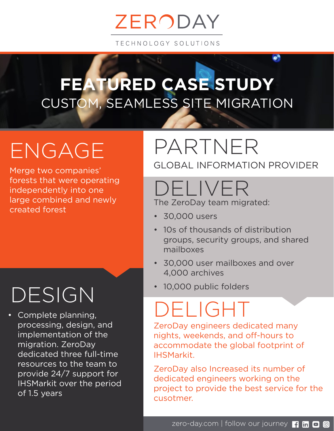# ZERODAY

TECHNOLOGY SOLUTIONS

#### CUSTOM, SEAMLESS SITE MIGRATION **FEATURED CASE STUDY**

# ENGAGE

Merge two companies' forests that were operating independently into one large combined and newly created forest

# DESIGN

• Complete planning, processing, design, and implementation of the migration. ZeroDay dedicated three full-time resources to the team to provide 24/7 support for IHSMarkit over the period of 1.5 years

#### PARTNER GLOBAL INFORMATION PROVIDER

# DELIVER

The ZeroDay team migrated:

- 30,000 users
- 10s of thousands of distribution groups, security groups, and shared mailboxes
- 30,000 user mailboxes and over 4,000 archives
- 10,000 public folders

# DELIGHT

ZeroDay engineers dedicated many nights, weekends, and off-hours to accommodate the global footprint of IHSMarkit.

ZeroDay also Increased its number of dedicated engineers working on the project to provide the best service for the cusotmer.